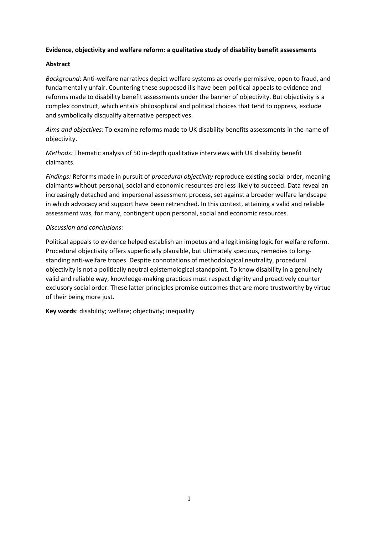## **Evidence, objectivity and welfare reform: a qualitative study of disability benefit assessments**

### **Abstract**

*Background*: Anti-welfare narratives depict welfare systems as overly-permissive, open to fraud, and fundamentally unfair. Countering these supposed ills have been political appeals to evidence and reforms made to disability benefit assessments under the banner of objectivity. But objectivity is a complex construct, which entails philosophical and political choices that tend to oppress, exclude and symbolically disqualify alternative perspectives.

*Aims and objectives*: To examine reforms made to UK disability benefits assessments in the name of objectivity.

*Methods:* Thematic analysis of 50 in-depth qualitative interviews with UK disability benefit claimants.

*Findings:* Reforms made in pursuit of *procedural objectivity* reproduce existing social order, meaning claimants without personal, social and economic resources are less likely to succeed. Data reveal an increasingly detached and impersonal assessment process, set against a broader welfare landscape in which advocacy and support have been retrenched. In this context, attaining a valid and reliable assessment was, for many, contingent upon personal, social and economic resources.

#### *Discussion and conclusions:*

Political appeals to evidence helped establish an impetus and a legitimising logic for welfare reform. Procedural objectivity offers superficially plausible, but ultimately specious, remedies to longstanding anti-welfare tropes. Despite connotations of methodological neutrality, procedural objectivity is not a politically neutral epistemological standpoint. To know disability in a genuinely valid and reliable way, knowledge-making practices must respect dignity and proactively counter exclusory social order. These latter principles promise outcomes that are more trustworthy by virtue of their being more just.

**Key words**: disability; welfare; objectivity; inequality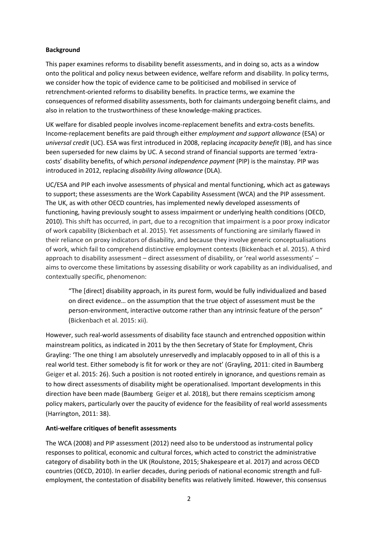## **Background**

This paper examines reforms to disability benefit assessments, and in doing so, acts as a window onto the political and policy nexus between evidence, welfare reform and disability. In policy terms, we consider how the topic of evidence came to be politicised and mobilised in service of retrenchment-oriented reforms to disability benefits. In practice terms, we examine the consequences of reformed disability assessments, both for claimants undergoing benefit claims, and also in relation to the trustworthiness of these knowledge-making practices.

UK welfare for disabled people involves income-replacement benefits and extra-costs benefits. Income-replacement benefits are paid through either *employment and support allowance* (ESA) or *universal credit* (UC). ESA was first introduced in 2008, replacing *incapacity benefit* (IB), and has since been superseded for new claims by UC. A second strand of financial supports are termed 'extracosts' disability benefits, of which *personal independence payment* (PIP) is the mainstay. PIP was introduced in 2012, replacing *disability living allowance* (DLA).

UC/ESA and PIP each involve assessments of physical and mental functioning, which act as gateways to support; these assessments are the Work Capability Assessment (WCA) and the PIP assessment. The UK, as with other OECD countries, has implemented newly developed assessments of functioning, having previously sought to assess impairment or underlying health conditions (OECD, 2010). This shift has occurred, in part, due to a recognition that impairment is a poor proxy indicator of work capability (Bickenbach et al. 2015). Yet assessments of functioning are similarly flawed in their reliance on proxy indicators of disability, and because they involve generic conceptualisations of work, which fail to comprehend distinctive employment contexts (Bickenbach et al. 2015). A third approach to disability assessment – direct assessment of disability, or 'real world assessments' – aims to overcome these limitations by assessing disability or work capability as an individualised, and contextually specific, phenomenon:

"The [direct] disability approach, in its purest form, would be fully individualized and based on direct evidence… on the assumption that the true object of assessment must be the person-environment, interactive outcome rather than any intrinsic feature of the person" (Bickenbach et al. 2015: xii).

However, such real-world assessments of disability face staunch and entrenched opposition within mainstream politics, as indicated in 2011 by the then Secretary of State for Employment, Chris Grayling: 'The one thing I am absolutely unreservedly and implacably opposed to in all of this is a real world test. Either somebody is fit for work or they are not' (Grayling, 2011: cited in Baumberg Geiger et al. 2015: 26). Such a position is not rooted entirely in ignorance, and questions remain as to how direct assessments of disability might be operationalised. Important developments in this direction have been made (Baumberg Geiger et al. 2018), but there remains scepticism among policy makers, particularly over the paucity of evidence for the feasibility of real world assessments (Harrington, 2011: 38).

#### **Anti-welfare critiques of benefit assessments**

The WCA (2008) and PIP assessment (2012) need also to be understood as instrumental policy responses to political, economic and cultural forces, which acted to constrict the administrative category of disability both in the UK (Roulstone, 2015; Shakespeare et al. 2017) and across OECD countries (OECD, 2010). In earlier decades, during periods of national economic strength and fullemployment, the contestation of disability benefits was relatively limited. However, this consensus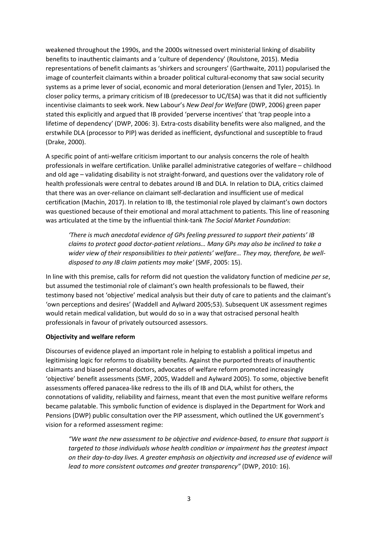weakened throughout the 1990s, and the 2000s witnessed overt ministerial linking of disability benefits to inauthentic claimants and a 'culture of dependency' (Roulstone, 2015). Media representations of benefit claimants as 'shirkers and scroungers' (Garthwaite, 2011) popularised the image of counterfeit claimants within a broader political cultural-economy that saw social security systems as a prime lever of social, economic and moral deterioration (Jensen and Tyler, 2015). In closer policy terms, a primary criticism of IB (predecessor to UC/ESA) was that it did not sufficiently incentivise claimants to seek work. New Labour's *New Deal for Welfare* (DWP, 2006) green paper stated this explicitly and argued that IB provided 'perverse incentives' that 'trap people into a lifetime of dependency' (DWP, 2006: 3). Extra-costs disability benefits were also maligned, and the erstwhile DLA (processor to PIP) was derided as inefficient, dysfunctional and susceptible to fraud (Drake, 2000).

A specific point of anti-welfare criticism important to our analysis concerns the role of health professionals in welfare certification. Unlike parallel administrative categories of welfare – childhood and old age – validating disability is not straight-forward, and questions over the validatory role of health professionals were central to debates around IB and DLA. In relation to DLA, critics claimed that there was an over-reliance on claimant self-declaration and insufficient use of medical certification (Machin, 2017). In relation to IB, the testimonial role played by claimant's own doctors was questioned because of their emotional and moral attachment to patients. This line of reasoning was articulated at the time by the influential think-tank *The Social Market Foundation*:

*'There is much anecdotal evidence of GPs feeling pressured to support their patients' IB claims to protect good doctor-patient relations… Many GPs may also be inclined to take a wider view of their responsibilities to their patients' welfare… They may, therefore, be welldisposed to any IB claim patients may make'* (SMF, 2005: 15).

In line with this premise, calls for reform did not question the validatory function of medicine *per se*, but assumed the testimonial role of claimant's own health professionals to be flawed, their testimony based not 'objective' medical analysis but their duty of care to patients and the claimant's 'own perceptions and desires' (Waddell and Aylward 2005;53). Subsequent UK assessment regimes would retain medical validation, but would do so in a way that ostracised personal health professionals in favour of privately outsourced assessors.

#### **Objectivity and welfare reform**

Discourses of evidence played an important role in helping to establish a political impetus and legitimising logic for reforms to disability benefits. Against the purported threats of inauthentic claimants and biased personal doctors, advocates of welfare reform promoted increasingly 'objective' benefit assessments (SMF, 2005, Waddell and Aylward 2005). To some, objective benefit assessments offered panacea-like redress to the ills of IB and DLA, whilst for others, the connotations of validity, reliability and fairness, meant that even the most punitive welfare reforms became palatable. This symbolic function of evidence is displayed in the Department for Work and Pensions (DWP) public consultation over the PIP assessment, which outlined the UK government's vision for a reformed assessment regime:

*"We want the new assessment to be objective and evidence-based, to ensure that support is targeted to those individuals whose health condition or impairment has the greatest impact on their day-to-day lives. A greater emphasis on objectivity and increased use of evidence will lead to more consistent outcomes and greater transparency"* (DWP, 2010: 16).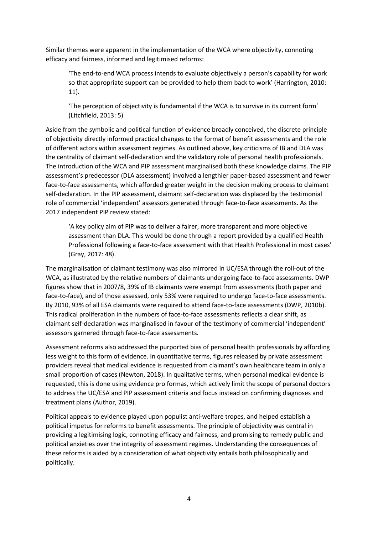Similar themes were apparent in the implementation of the WCA where objectivity, connoting efficacy and fairness, informed and legitimised reforms:

'The end-to-end WCA process intends to evaluate objectively a person's capability for work so that appropriate support can be provided to help them back to work' (Harrington, 2010: 11).

'The perception of objectivity is fundamental if the WCA is to survive in its current form' (Litchfield, 2013: 5)

Aside from the symbolic and political function of evidence broadly conceived, the discrete principle of objectivity directly informed practical changes to the format of benefit assessments and the role of different actors within assessment regimes. As outlined above, key criticisms of IB and DLA was the centrality of claimant self-declaration and the validatory role of personal health professionals. The introduction of the WCA and PIP assessment marginalised both these knowledge claims. The PIP assessment's predecessor (DLA assessment) involved a lengthier paper-based assessment and fewer face-to-face assessments, which afforded greater weight in the decision making process to claimant self-declaration. In the PIP assessment, claimant self-declaration was displaced by the testimonial role of commercial 'independent' assessors generated through face-to-face assessments. As the 2017 independent PIP review stated:

'A key policy aim of PIP was to deliver a fairer, more transparent and more objective assessment than DLA. This would be done through a report provided by a qualified Health Professional following a face-to-face assessment with that Health Professional in most cases' (Gray, 2017: 48).

The marginalisation of claimant testimony was also mirrored in UC/ESA through the roll-out of the WCA, as illustrated by the relative numbers of claimants undergoing face-to-face assessments. DWP figures show that in 2007/8, 39% of IB claimants were exempt from assessments (both paper and face-to-face), and of those assessed, only 53% were required to undergo face-to-face assessments. By 2010, 93% of all ESA claimants were required to attend face-to-face assessments (DWP, 2010b). This radical proliferation in the numbers of face-to-face assessments reflects a clear shift, as claimant self-declaration was marginalised in favour of the testimony of commercial 'independent' assessors garnered through face-to-face assessments.

Assessment reforms also addressed the purported bias of personal health professionals by affording less weight to this form of evidence. In quantitative terms, figures released by private assessment providers reveal that medical evidence is requested from claimant's own healthcare team in only a small proportion of cases (Newton, 2018). In qualitative terms, when personal medical evidence is requested, this is done using evidence pro formas, which actively limit the scope of personal doctors to address the UC/ESA and PIP assessment criteria and focus instead on confirming diagnoses and treatment plans (Author, 2019).

Political appeals to evidence played upon populist anti-welfare tropes, and helped establish a political impetus for reforms to benefit assessments. The principle of objectivity was central in providing a legitimising logic, connoting efficacy and fairness, and promising to remedy public and political anxieties over the integrity of assessment regimes. Understanding the consequences of these reforms is aided by a consideration of what objectivity entails both philosophically and politically.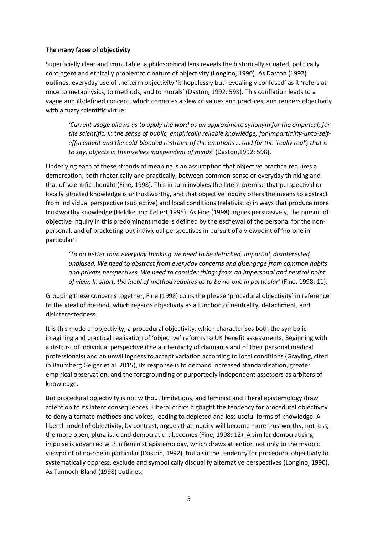## **The many faces of objectivity**

Superficially clear and immutable, a philosophical lens reveals the historically situated, politically contingent and ethically problematic nature of objectivity (Longino, 1990). As Daston (1992) outlines, everyday use of the term objectivity 'is hopelessly but revealingly confused' as it 'refers at once to metaphysics, to methods, and to morals' (Daston, 1992: 598). This conflation leads to a vague and ill-defined concept, which connotes a slew of values and practices, and renders objectivity with a fuzzy scientific virtue:

*'Current usage allows us to apply the word as an approximate synonym for the empirical; for the scientific, in the sense of public, empirically reliable knowledge; for impartiality-unto-selfeffacement and the cold-blooded restraint of the emotions … and for the 'really real', that is to say, objects in themselves independent of minds'* (Daston,1992: 598).

Underlying each of these strands of meaning is an assumption that objective practice requires a demarcation, both rhetorically and practically, between common-sense or everyday thinking and that of scientific thought (Fine, 1998). This in turn involves the latent premise that perspectival or locally situated knowledge is untrustworthy, and that objective inquiry offers the means to abstract from individual perspective (subjective) and local conditions (relativistic) in ways that produce more trustworthy knowledge (Heldke and Kellert,1995). As Fine (1998) argues persuasively, the pursuit of objective inquiry in this predominant mode is defined by the eschewal of the personal for the nonpersonal, and of bracketing-out individual perspectives in pursuit of a viewpoint of 'no-one in particular':

*'To do better than everyday thinking we need to be detached, impartial, disinterested, unbiased. We need to abstract from everyday concerns and disengage from common habits and private perspectives. We need to consider things from an impersonal and neutral point of view. In short, the ideal of method requires us to be no-one in particular'* (Fine, 1998: 11).

Grouping these concerns together, Fine (1998) coins the phrase 'procedural objectivity' in reference to the ideal of method, which regards objectivity as a function of neutrality, detachment, and disinterestedness.

It is this mode of objectivity, a procedural objectivity, which characterises both the symbolic imagining and practical realisation of 'objective' reforms to UK benefit assessments. Beginning with a distrust of individual perspective (the authenticity of claimants and of their personal medical professionals) and an unwillingness to accept variation according to local conditions (Grayling, cited in Baumberg Geiger et al. 2015), its response is to demand increased standardisation, greater empirical observation, and the foregrounding of purportedly independent assessors as arbiters of knowledge.

But procedural objectivity is not without limitations, and feminist and liberal epistemology draw attention to its latent consequences. Liberal critics highlight the tendency for procedural objectivity to deny alternate methods and voices, leading to depleted and less useful forms of knowledge. A liberal model of objectivity, by contrast, argues that inquiry will become more trustworthy, not less, the more open, pluralistic and democratic it becomes (Fine, 1998: 12). A similar democratising impulse is advanced within feminist epistemology, which draws attention not only to the myopic viewpoint of no-one in particular (Daston, 1992), but also the tendency for procedural objectivity to systematically oppress, exclude and symbolically disqualify alternative perspectives (Longino, 1990). As Tannoch-Bland (1998) outlines: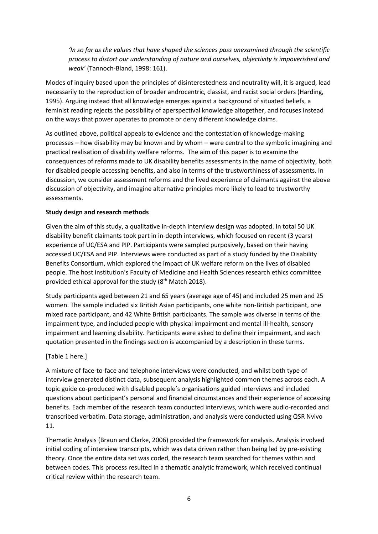*'In so far as the values that have shaped the sciences pass unexamined through the scientific process to distort our understanding of nature and ourselves, objectivity is impoverished and weak'* (Tannoch-Bland, 1998: 161).

Modes of inquiry based upon the principles of disinterestedness and neutrality will, it is argued, lead necessarily to the reproduction of broader androcentric, classist, and racist social orders (Harding, 1995). Arguing instead that all knowledge emerges against a background of situated beliefs, a feminist reading rejects the possibility of aperspectival knowledge altogether, and focuses instead on the ways that power operates to promote or deny different knowledge claims.

As outlined above, political appeals to evidence and the contestation of knowledge-making processes – how disability may be known and by whom – were central to the symbolic imagining and practical realisation of disability welfare reforms. The aim of this paper is to examine the consequences of reforms made to UK disability benefits assessments in the name of objectivity, both for disabled people accessing benefits, and also in terms of the trustworthiness of assessments. In discussion, we consider assessment reforms and the lived experience of claimants against the above discussion of objectivity, and imagine alternative principles more likely to lead to trustworthy assessments.

#### **Study design and research methods**

Given the aim of this study, a qualitative in-depth interview design was adopted. In total 50 UK disability benefit claimants took part in in-depth interviews, which focused on recent (3 years) experience of UC/ESA and PIP. Participants were sampled purposively, based on their having accessed UC/ESA and PIP. Interviews were conducted as part of a study funded by the Disability Benefits Consortium, which explored the impact of UK welfare reform on the lives of disabled people. The host institution's Faculty of Medicine and Health Sciences research ethics committee provided ethical approval for the study (8<sup>th</sup> Match 2018).

Study participants aged between 21 and 65 years (average age of 45) and included 25 men and 25 women. The sample included six British Asian participants, one white non-British participant, one mixed race participant, and 42 White British participants. The sample was diverse in terms of the impairment type, and included people with physical impairment and mental ill-health, sensory impairment and learning disability. Participants were asked to define their impairment, and each quotation presented in the findings section is accompanied by a description in these terms.

#### [Table 1 here.]

A mixture of face-to-face and telephone interviews were conducted, and whilst both type of interview generated distinct data, subsequent analysis highlighted common themes across each. A topic guide co-produced with disabled people's organisations guided interviews and included questions about participant's personal and financial circumstances and their experience of accessing benefits. Each member of the research team conducted interviews, which were audio-recorded and transcribed verbatim. Data storage, administration, and analysis were conducted using QSR Nvivo 11.

Thematic Analysis (Braun and Clarke, 2006) provided the framework for analysis. Analysis involved initial coding of interview transcripts, which was data driven rather than being led by pre-existing theory. Once the entire data set was coded, the research team searched for themes within and between codes. This process resulted in a thematic analytic framework, which received continual critical review within the research team.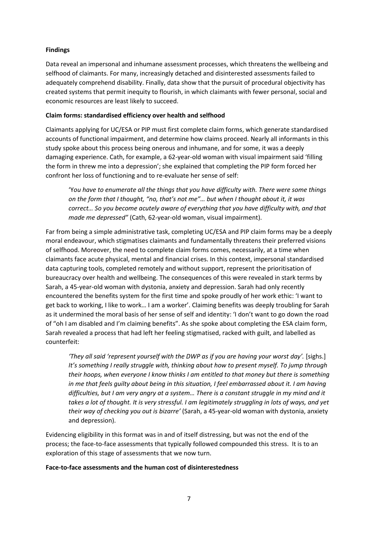# **Findings**

Data reveal an impersonal and inhumane assessment processes, which threatens the wellbeing and selfhood of claimants. For many, increasingly detached and disinterested assessments failed to adequately comprehend disability. Finally, data show that the pursuit of procedural objectivity has created systems that permit inequity to flourish, in which claimants with fewer personal, social and economic resources are least likely to succeed.

## **Claim forms: standardised efficiency over health and selfhood**

Claimants applying for UC/ESA or PIP must first complete claim forms, which generate standardised accounts of functional impairment, and determine how claims proceed. Nearly all informants in this study spoke about this process being onerous and inhumane, and for some, it was a deeply damaging experience. Cath, for example, a 62-year-old woman with visual impairment said 'filling the form in threw me into a depression'; she explained that completing the PIP form forced her confront her loss of functioning and to re-evaluate her sense of self:

'Y*ou have to enumerate all the things that you have difficulty with. There were some things on the form that I thought, "no, that's not me"… but when I thought about it, it was correct… So you become acutely aware of everything that you have difficulty with, and that made me depressed"* (Cath, 62-year-old woman, visual impairment).

Far from being a simple administrative task, completing UC/ESA and PIP claim forms may be a deeply moral endeavour, which stigmatises claimants and fundamentally threatens their preferred visions of selfhood. Moreover, the need to complete claim forms comes, necessarily, at a time when claimants face acute physical, mental and financial crises. In this context, impersonal standardised data capturing tools, completed remotely and without support, represent the prioritisation of bureaucracy over health and wellbeing. The consequences of this were revealed in stark terms by Sarah, a 45-year-old woman with dystonia, anxiety and depression. Sarah had only recently encountered the benefits system for the first time and spoke proudly of her work ethic: 'I want to get back to working, I like to work… I am a worker'. Claiming benefits was deeply troubling for Sarah as it undermined the moral basis of her sense of self and identity: 'I don't want to go down the road of "oh I am disabled and I'm claiming benefits". As she spoke about completing the ESA claim form, Sarah revealed a process that had left her feeling stigmatised, racked with guilt, and labelled as counterfeit:

'They all said 'represent yourself with the DWP as if you are having your worst day'. [sighs.] *It's something I really struggle with, thinking about how to present myself. To jump through their hoops, when everyone I know thinks I am entitled to that money but there is something in me that feels guilty about being in this situation, I feel embarrassed about it. I am having difficulties, but I am very angry at a system… There is a constant struggle in my mind and it takes a lot of thought. It is very stressful. I am legitimately struggling in lots of ways, and yet their way of checking you out is bizarre'* (Sarah, a 45-year-old woman with dystonia, anxiety and depression).

Evidencing eligibility in this format was in and of itself distressing, but was not the end of the process; the face-to-face assessments that typically followed compounded this stress. It is to an exploration of this stage of assessments that we now turn.

#### **Face-to-face assessments and the human cost of disinterestedness**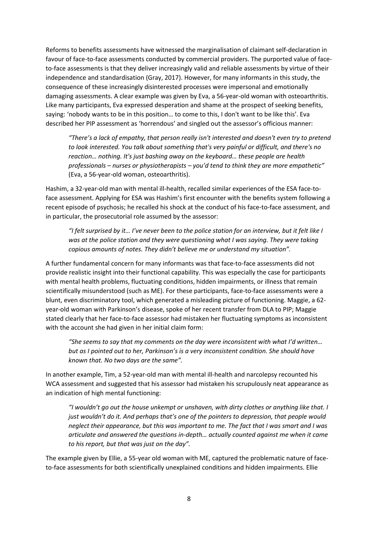Reforms to benefits assessments have witnessed the marginalisation of claimant self-declaration in favour of face-to-face assessments conducted by commercial providers. The purported value of faceto-face assessments is that they deliver increasingly valid and reliable assessments by virtue of their independence and standardisation (Gray, 2017). However, for many informants in this study, the consequence of these increasingly disinterested processes were impersonal and emotionally damaging assessments. A clear example was given by Eva, a 56-year-old woman with osteoarthritis. Like many participants, Eva expressed desperation and shame at the prospect of seeking benefits, saying: 'nobody wants to be in this position… to come to this, I don't want to be like this'. Eva described her PIP assessment as 'horrendous' and singled out the assessor's officious manner:

*"There's a lack of empathy, that person really isn't interested and doesn't even try to pretend to look interested. You talk about something that's very painful or difficult, and there's no reaction… nothing. It's just bashing away on the keyboard… these people are health professionals – nurses or physiotherapists – you'd tend to think they are more empathetic"*  (Eva, a 56-year-old woman, osteoarthritis).

Hashim, a 32-year-old man with mental ill-health, recalled similar experiences of the ESA face-toface assessment. Applying for ESA was Hashim's first encounter with the benefits system following a recent episode of psychosis; he recalled his shock at the conduct of his face-to-face assessment, and in particular, the prosecutorial role assumed by the assessor:

*"I felt surprised by it… I've never been to the police station for an interview, but it felt like I was at the police station and they were questioning what I was saying. They were taking copious amounts of notes. They didn't believe me or understand my situation".*

A further fundamental concern for many informants was that face-to-face assessments did not provide realistic insight into their functional capability. This was especially the case for participants with mental health problems, fluctuating conditions, hidden impairments, or illness that remain scientifically misunderstood (such as ME). For these participants, face-to-face assessments were a blunt, even discriminatory tool, which generated a misleading picture of functioning. Maggie, a 62 year-old woman with Parkinson's disease, spoke of her recent transfer from DLA to PIP; Maggie stated clearly that her face-to-face assessor had mistaken her fluctuating symptoms as inconsistent with the account she had given in her initial claim form:

*"She seems to say that my comments on the day were inconsistent with what I'd written… but as I pointed out to her, Parkinson's is a very inconsistent condition. She should have known that. No two days are the same".*

In another example, Tim, a 52-year-old man with mental ill-health and narcolepsy recounted his WCA assessment and suggested that his assessor had mistaken his scrupulously neat appearance as an indication of high mental functioning:

*"I wouldn't go out the house unkempt or unshaven, with dirty clothes or anything like that. I just wouldn't do it. And perhaps that's one of the pointers to depression, that people would neglect their appearance, but this was important to me. The fact that I was smart and I was articulate and answered the questions in-depth… actually counted against me when it came to his report, but that was just on the day".* 

The example given by Ellie, a 55-year old woman with ME, captured the problematic nature of faceto-face assessments for both scientifically unexplained conditions and hidden impairments. Ellie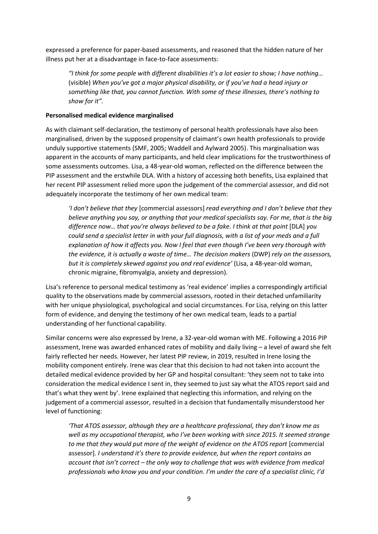expressed a preference for paper-based assessments, and reasoned that the hidden nature of her illness put her at a disadvantage in face-to-face assessments:

*"I think for some people with different disabilities it's a lot easier to show; I have nothing…*  (visible) *When you've got a major physical disability, or if you've had a head injury or something like that, you cannot function. With some of these illnesses, there's nothing to show for it".*

### **Personalised medical evidence marginalised**

As with claimant self-declaration, the testimony of personal health professionals have also been marginalised, driven by the supposed propensity of claimant's own health professionals to provide unduly supportive statements (SMF, 2005; Waddell and Aylward 2005). This marginalisation was apparent in the accounts of many participants, and held clear implications for the trustworthiness of some assessments outcomes. Lisa, a 48-year-old woman, reflected on the difference between the PIP assessment and the erstwhile DLA. With a history of accessing both benefits, Lisa explained that her recent PIP assessment relied more upon the judgement of the commercial assessor, and did not adequately incorporate the testimony of her own medical team:

*'I don't believe that they* [commercial assessors] *read everything and I don't believe that they believe anything you say, or anything that your medical specialists say. For me, that is the big difference now... that you're always believed to be a fake. I think at that point [DLA] you could send a specialist letter in with your full diagnosis, with a list of your meds and a full explanation of how it affects you. Now I feel that even though I've been very thorough with the evidence, it is actually a waste of time… The decision makers* (DWP) *rely on the assessors, but it is completely skewed against you and real evidence'* (Lisa, a 48-year-old woman, chronic migraine, fibromyalgia, anxiety and depression).

Lisa's reference to personal medical testimony as 'real evidence' implies a correspondingly artificial quality to the observations made by commercial assessors, rooted in their detached unfamiliarity with her unique physiological, psychological and social circumstances. For Lisa, relying on this latter form of evidence, and denying the testimony of her own medical team, leads to a partial understanding of her functional capability.

Similar concerns were also expressed by Irene, a 32-year-old woman with ME. Following a 2016 PIP assessment, Irene was awarded enhanced rates of mobility and daily living – a level of award she felt fairly reflected her needs. However, her latest PIP review, in 2019, resulted in Irene losing the mobility component entirely. Irene was clear that this decision to had not taken into account the detailed medical evidence provided by her GP and hospital consultant: 'they seem not to take into consideration the medical evidence I sent in, they seemed to just say what the ATOS report said and that's what they went by'. Irene explained that neglecting this information, and relying on the judgement of a commercial assessor, resulted in a decision that fundamentally misunderstood her level of functioning:

*'That ATOS assessor, although they are a healthcare professional, they don't know me as well as my occupational therapist, who I've been working with since 2015. It seemed strange to me that they would put more of the weight of evidence on the ATOS report* [commercial assessor]*. I understand it's there to provide evidence, but when the report contains an account that isn't correct – the only way to challenge that was with evidence from medical professionals who know you and your condition. I'm under the care of a specialist clinic, I'd*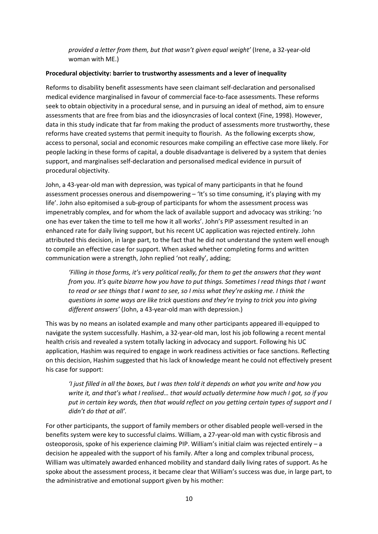*provided a letter from them, but that wasn't given equal weight'* (Irene, a 32-year-old woman with ME.)

## **Procedural objectivity: barrier to trustworthy assessments and a lever of inequality**

Reforms to disability benefit assessments have seen claimant self-declaration and personalised medical evidence marginalised in favour of commercial face-to-face assessments. These reforms seek to obtain objectivity in a procedural sense, and in pursuing an ideal of method, aim to ensure assessments that are free from bias and the idiosyncrasies of local context (Fine, 1998). However, data in this study indicate that far from making the product of assessments more trustworthy, these reforms have created systems that permit inequity to flourish. As the following excerpts show, access to personal, social and economic resources make compiling an effective case more likely. For people lacking in these forms of capital, a double disadvantage is delivered by a system that denies support, and marginalises self-declaration and personalised medical evidence in pursuit of procedural objectivity.

John, a 43-year-old man with depression, was typical of many participants in that he found assessment processes onerous and disempowering – 'It's so time consuming, it's playing with my life'. John also epitomised a sub-group of participants for whom the assessment process was impenetrably complex, and for whom the lack of available support and advocacy was striking: 'no one has ever taken the time to tell me how it all works'. John's PIP assessment resulted in an enhanced rate for daily living support, but his recent UC application was rejected entirely. John attributed this decision, in large part, to the fact that he did not understand the system well enough to compile an effective case for support. When asked whether completing forms and written communication were a strength, John replied 'not really', adding;

*'Filling in those forms, it's very political really, for them to get the answers that they want from you. It's quite bizarre how you have to put things. Sometimes I read things that I want to read or see things that I want to see, so I miss what they're asking me. I think the questions in some ways are like trick questions and they're trying to trick you into giving different answers'* (John, a 43-year-old man with depression.)

This was by no means an isolated example and many other participants appeared ill-equipped to navigate the system successfully. Hashim, a 32-year-old man, lost his job following a recent mental health crisis and revealed a system totally lacking in advocacy and support. Following his UC application, Hashim was required to engage in work readiness activities or face sanctions. Reflecting on this decision, Hashim suggested that his lack of knowledge meant he could not effectively present his case for support:

*'I just filled in all the boxes, but I was then told it depends on what you write and how you write it, and that's what I realised… that would actually determine how much I got, so if you put in certain key words, then that would reflect on you getting certain types of support and I didn't do that at all'.*

For other participants, the support of family members or other disabled people well-versed in the benefits system were key to successful claims. William, a 27-year-old man with cystic fibrosis and osteoporosis, spoke of his experience claiming PIP. William's initial claim was rejected entirely – a decision he appealed with the support of his family. After a long and complex tribunal process, William was ultimately awarded enhanced mobility and standard daily living rates of support. As he spoke about the assessment process, it became clear that William's success was due, in large part, to the administrative and emotional support given by his mother: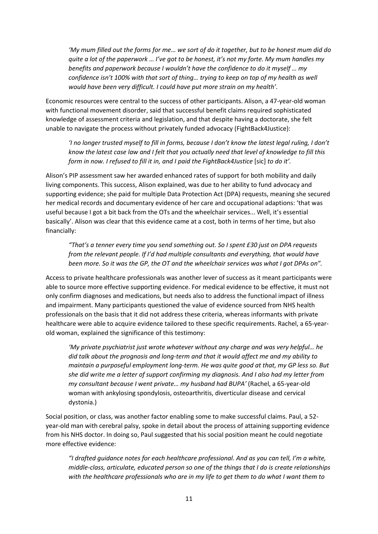*'My mum filled out the forms for me… we sort of do it together, but to be honest mum did do quite a lot of the paperwork … I've got to be honest, it's not my forte. My mum handles my benefits and paperwork because I wouldn't have the confidence to do it myself … my confidence isn't 100% with that sort of thing… trying to keep on top of my health as well would have been very difficult. I could have put more strain on my health'.* 

Economic resources were central to the success of other participants. Alison, a 47-year-old woman with functional movement disorder, said that successful benefit claims required sophisticated knowledge of assessment criteria and legislation, and that despite having a doctorate, she felt unable to navigate the process without privately funded advocacy (FightBack4Justice):

*'I no longer trusted myself to fill in forms, because I don't know the latest legal ruling, I don't know the latest case law and I felt that you actually need that level of knowledge to fill this form in now. I refused to fill it in, and I paid the FightBack4Justice* [sic] *to do it'.* 

Alison's PIP assessment saw her awarded enhanced rates of support for both mobility and daily living components. This success, Alison explained, was due to her ability to fund advocacy and supporting evidence; she paid for multiple Data Protection Act (DPA) requests, meaning she secured her medical records and documentary evidence of her care and occupational adaptions: 'that was useful because I got a bit back from the OTs and the wheelchair services... Well, it's essential basically'. Alison was clear that this evidence came at a cost, both in terms of her time, but also financially:

*"That's a tenner every time you send something out. So I spent £30 just on DPA requests from the relevant people. If I'd had multiple consultants and everything, that would have been more. So it was the GP, the OT and the wheelchair services was what I got DPAs on".* 

Access to private healthcare professionals was another lever of success as it meant participants were able to source more effective supporting evidence. For medical evidence to be effective, it must not only confirm diagnoses and medications, but needs also to address the functional impact of illness and impairment. Many participants questioned the value of evidence sourced from NHS health professionals on the basis that it did not address these criteria, whereas informants with private healthcare were able to acquire evidence tailored to these specific requirements. Rachel, a 65-yearold woman, explained the significance of this testimony:

*'My private psychiatrist just wrote whatever without any charge and was very helpful… he did talk about the prognosis and long-term and that it would affect me and my ability to maintain a purposeful employment long-term. He was quite good at that, my GP less so. But she did write me a letter of support confirming my diagnosis. And I also had my letter from my consultant because I went private… my husband had BUPA'* (Rachel, a 65-year-old woman with ankylosing spondylosis, osteoarthritis, diverticular disease and cervical dystonia.)

Social position, or class, was another factor enabling some to make successful claims. Paul, a 52 year-old man with cerebral palsy, spoke in detail about the process of attaining supporting evidence from his NHS doctor. In doing so, Paul suggested that his social position meant he could negotiate more effective evidence:

*"I drafted guidance notes for each healthcare professional. And as you can tell, I'm a white, middle-class, articulate, educated person so one of the things that I do is create relationships with the healthcare professionals who are in my life to get them to do what I want them to*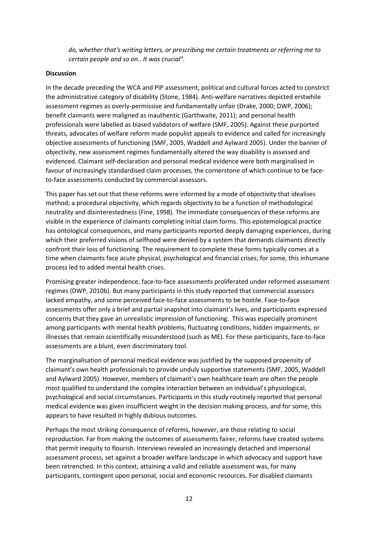*do, whether that's writing letters, or prescribing me certain treatments or referring me to certain people and so on.. It was crucial".*

## **Discussion**

In the decade preceding the WCA and PIP assessment, political and cultural forces acted to constrict the administrative category of disability (Stone, 1984). Anti-welfare narratives depicted erstwhile assessment regimes as overly-permissive and fundamentally unfair (Drake, 2000; DWP, 2006); benefit claimants were maligned as inauthentic (Garthwaite, 2011); and personal health professionals were labelled as biased validators of welfare (SMF, 2005). Against these purported threats, advocates of welfare reform made populist appeals to evidence and called for increasingly objective assessments of functioning (SMF, 2005, Waddell and Aylward 2005). Under the banner of objectivity, new assessment regimes fundamentally altered the way disability is assessed and evidenced. Claimant self-declaration and personal medical evidence were both marginalised in favour of increasingly standardised claim processes, the cornerstone of which continue to be faceto-face assessments conducted by commercial assessors.

This paper has set out that these reforms were informed by a mode of objectivity that idealises method; a procedural objectivity, which regards objectivity to be a function of methodological neutrality and disinterestedness (Fine, 1998). The immediate consequences of these reforms are visible in the experience of claimants completing initial claim forms. This epistemological practice has ontological consequences, and many participants reported deeply damaging experiences, during which their preferred visions of selfhood were denied by a system that demands claimants directly confront their loss of functioning. The requirement to complete these forms typically comes at a time when claimants face acute physical, psychological and financial crises; for some, this inhumane process led to added mental health crises.

Promising greater independence, face-to-face assessments proliferated under reformed assessment regimes (DWP, 2010b). But many participants in this study reported that commercial assessors lacked empathy, and some perceived face-to-face assessments to be hostile. Face-to-face assessments offer only a brief and partial snapshot into claimant's lives, and participants expressed concerns that they gave an unrealistic impression of functioning. This was especially prominent among participants with mental health problems, fluctuating conditions, hidden impairments, or illnesses that remain scientifically misunderstood (such as ME). For these participants, face-to-face assessments are a blunt, even discriminatory tool.

The marginalisation of personal medical evidence was justified by the supposed propensity of claimant's own health professionals to provide unduly supportive statements (SMF, 2005, Waddell and Aylward 2005). However, members of claimant's own healthcare team are often the people most qualified to understand the complex interaction between an individual's physiological, psychological and social circumstances. Participants in this study routinely reported that personal medical evidence was given insufficient weight in the decision making process, and for some, this appears to have resulted in highly dubious outcomes.

Perhaps the most striking consequence of reforms, however, are those relating to social reproduction. Far from making the outcomes of assessments fairer, reforms have created systems that permit inequity to flourish. Interviews revealed an increasingly detached and impersonal assessment process, set against a broader welfare landscape in which advocacy and support have been retrenched. In this context, attaining a valid and reliable assessment was, for many participants, contingent upon personal, social and economic resources. For disabled claimants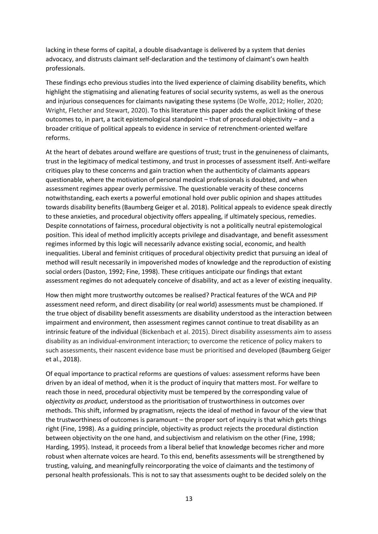lacking in these forms of capital, a double disadvantage is delivered by a system that denies advocacy, and distrusts claimant self-declaration and the testimony of claimant's own health professionals.

These findings echo previous studies into the lived experience of claiming disability benefits, which highlight the stigmatising and alienating features of social security systems, as well as the onerous and injurious consequences for claimants navigating these systems (De Wolfe, 2012; Holler, 2020; Wright, Fletcher and Stewart, 2020). To this literature this paper adds the explicit linking of these outcomes to, in part, a tacit epistemological standpoint – that of procedural objectivity – and a broader critique of political appeals to evidence in service of retrenchment-oriented welfare reforms.

At the heart of debates around welfare are questions of trust; trust in the genuineness of claimants, trust in the legitimacy of medical testimony, and trust in processes of assessment itself. Anti-welfare critiques play to these concerns and gain traction when the authenticity of claimants appears questionable, where the motivation of personal medical professionals is doubted, and when assessment regimes appear overly permissive. The questionable veracity of these concerns notwithstanding, each exerts a powerful emotional hold over public opinion and shapes attitudes towards disability benefits (Baumberg Geiger et al. 2018). Political appeals to evidence speak directly to these anxieties, and procedural objectivity offers appealing, if ultimately specious, remedies. Despite connotations of fairness, procedural objectivity is not a politically neutral epistemological position. This ideal of method implicitly accepts privilege and disadvantage, and benefit assessment regimes informed by this logic will necessarily advance existing social, economic, and health inequalities. Liberal and feminist critiques of procedural objectivity predict that pursuing an ideal of method will result necessarily in impoverished modes of knowledge and the reproduction of existing social orders (Daston, 1992; Fine, 1998). These critiques anticipate our findings that extant assessment regimes do not adequately conceive of disability, and act as a lever of existing inequality.

How then might more trustworthy outcomes be realised? Practical features of the WCA and PIP assessment need reform, and direct disability (or real world) assessments must be championed. If the true object of disability benefit assessments are disability understood as the interaction between impairment and environment, then assessment regimes cannot continue to treat disability as an intrinsic feature of the individual (Bickenbach et al. 2015). Direct disability assessments aim to assess disability as an individual-environment interaction; to overcome the reticence of policy makers to such assessments, their nascent evidence base must be prioritised and developed (Baumberg Geiger et al., 2018).

Of equal importance to practical reforms are questions of values: assessment reforms have been driven by an ideal of method, when it is the product of inquiry that matters most. For welfare to reach those in need, procedural objectivity must be tempered by the corresponding value of o*bjectivity as product,* understood as the prioritisation of trustworthiness in outcomes over methods. This shift, informed by pragmatism, rejects the ideal of method in favour of the view that the trustworthiness of outcomes is paramount – the proper sort of inquiry is that which gets things right (Fine, 1998). As a guiding principle, objectivity as product rejects the procedural distinction between objectivity on the one hand, and subjectivism and relativism on the other (Fine, 1998; Harding, 1995). Instead, it proceeds from a liberal belief that knowledge becomes richer and more robust when alternate voices are heard. To this end, benefits assessments will be strengthened by trusting, valuing, and meaningfully reincorporating the voice of claimants and the testimony of personal health professionals. This is not to say that assessments ought to be decided solely on the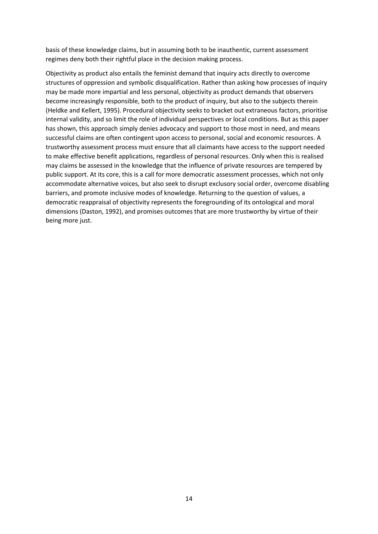basis of these knowledge claims, but in assuming both to be inauthentic, current assessment regimes deny both their rightful place in the decision making process.

Objectivity as product also entails the feminist demand that inquiry acts directly to overcome structures of oppression and symbolic disqualification. Rather than asking how processes of inquiry may be made more impartial and less personal, objectivity as product demands that observers become increasingly responsible, both to the product of inquiry, but also to the subjects therein (Heldke and Kellert, 1995). Procedural objectivity seeks to bracket out extraneous factors, prioritise internal validity, and so limit the role of individual perspectives or local conditions. But as this paper has shown, this approach simply denies advocacy and support to those most in need, and means successful claims are often contingent upon access to personal, social and economic resources. A trustworthy assessment process must ensure that all claimants have access to the support needed to make effective benefit applications, regardless of personal resources. Only when this is realised may claims be assessed in the knowledge that the influence of private resources are tempered by public support. At its core, this is a call for more democratic assessment processes, which not only accommodate alternative voices, but also seek to disrupt exclusory social order, overcome disabling barriers, and promote inclusive modes of knowledge. Returning to the question of values, a democratic reappraisal of objectivity represents the foregrounding of its ontological and moral dimensions (Daston, 1992), and promises outcomes that are more trustworthy by virtue of their being more just.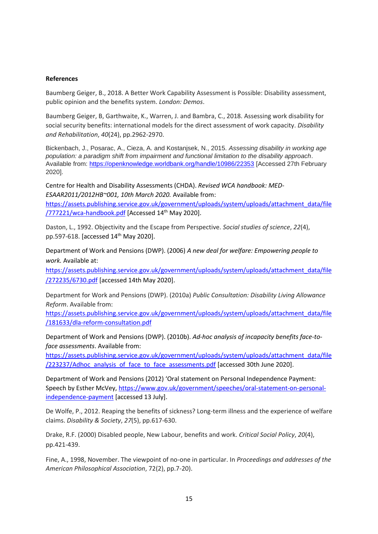#### **References**

Baumberg Geiger, B., 2018. A Better Work Capability Assessment is Possible: Disability assessment, public opinion and the benefits system. *London: Demos*.

Baumberg Geiger, B, Garthwaite, K., Warren, J. and Bambra, C., 2018. Assessing work disability for social security benefits: international models for the direct assessment of work capacity. *Disability and Rehabilitation*, *40*(24), pp.2962-2970.

Bickenbach, J., Posarac, A., Cieza, A. and Kostanjsek, N., 2015. *Assessing disability in working age population: a paradigm shift from impairment and functional limitation to the disability approach*. Available from:<https://openknowledge.worldbank.org/handle/10986/22353> [Accessed 27th February 2020].

Centre for Health and Disability Assessments (CHDA). *Revised WCA handbook: MED-ESAAR2011/2012HB~001, 10th March 2020.* Available from:

[https://assets.publishing.service.gov.uk/government/uploads/system/uploads/attachment\\_data/file](https://assets.publishing.service.gov.uk/government/uploads/system/uploads/attachment_data/file/777221/wca-handbook.pdf) [/777221/wca-handbook.pdf](https://assets.publishing.service.gov.uk/government/uploads/system/uploads/attachment_data/file/777221/wca-handbook.pdf) [Accessed 14th May 2020].

Daston, L., 1992. Objectivity and the Escape from Perspective. *Social studies of science*, *22*(4), pp.597-618. [accessed 14th May 2020].

Department of Work and Pensions (DWP). (2006) *A new deal for welfare: Empowering people to work.* Available at:

[https://assets.publishing.service.gov.uk/government/uploads/system/uploads/attachment\\_data/file](https://assets.publishing.service.gov.uk/government/uploads/system/uploads/attachment_data/file/272235/6730.pdf) [/272235/6730.pdf](https://assets.publishing.service.gov.uk/government/uploads/system/uploads/attachment_data/file/272235/6730.pdf) [accessed 14th May 2020].

Department for Work and Pensions (DWP). (2010a) *Public Consultation: Disability Living Allowance Reform*. Available from:

[https://assets.publishing.service.gov.uk/government/uploads/system/uploads/attachment\\_data/file](https://assets.publishing.service.gov.uk/government/uploads/system/uploads/attachment_data/file/181633/dla-reform-consultation.pdf) [/181633/dla-reform-consultation.pdf](https://assets.publishing.service.gov.uk/government/uploads/system/uploads/attachment_data/file/181633/dla-reform-consultation.pdf)

Department of Work and Pensions (DWP). (2010b). *Ad-hoc analysis of incapacity benefits face-toface assessments*. Available from:

[https://assets.publishing.service.gov.uk/government/uploads/system/uploads/attachment\\_data/file](https://assets.publishing.service.gov.uk/government/uploads/system/uploads/attachment_data/file/223237/Adhoc_analysis_of_face_to_face_assessments.pdf) [/223237/Adhoc\\_analysis\\_of\\_face\\_to\\_face\\_assessments.pdf](https://assets.publishing.service.gov.uk/government/uploads/system/uploads/attachment_data/file/223237/Adhoc_analysis_of_face_to_face_assessments.pdf) [accessed 30th June 2020].

Department of Work and Pensions (2012) 'Oral statement on Personal Independence Payment: Speech by Esther McVey, [https://www.gov.uk/government/speeches/oral-statement-on-personal](https://www.gov.uk/government/speeches/oral-statement-on-personal-independence-payment)[independence-payment](https://www.gov.uk/government/speeches/oral-statement-on-personal-independence-payment) [accessed 13 July].

De Wolfe, P., 2012. Reaping the benefits of sickness? Long-term illness and the experience of welfare claims. *Disability & Society*, *27*(5), pp.617-630.

Drake, R.F. (2000) Disabled people, New Labour, benefits and work. *Critical Social Policy*, *20*(4), pp.421-439.

Fine, A., 1998, November. The viewpoint of no-one in particular. In *Proceedings and addresses of the American Philosophical Association*, 72(2), pp.7-20).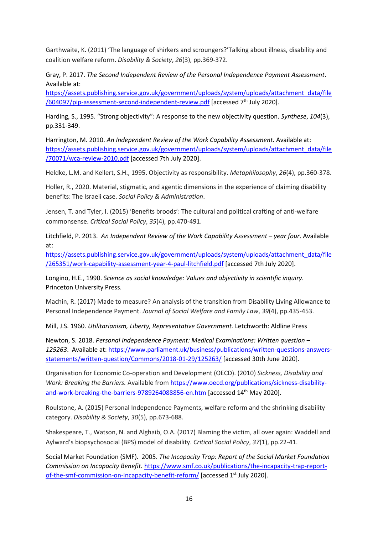Garthwaite, K. (2011) 'The language of shirkers and scroungers?'Talking about illness, disability and coalition welfare reform. *Disability & Society*, *26*(3), pp.369-372.

Gray, P. 2017. *The Second Independent Review of the Personal Independence Payment Assessment*. Available at:

[https://assets.publishing.service.gov.uk/government/uploads/system/uploads/attachment\\_data/file](https://assets.publishing.service.gov.uk/government/uploads/system/uploads/attachment_data/file/604097/pip-assessment-second-independent-review.pdf)  $/604097/pip-assesment-second-independent-review.pdf$  [accessed  $7<sup>th</sup>$  July 2020].

Harding, S., 1995. "Strong objectivity": A response to the new objectivity question. *Synthese*, *104*(3), pp.331-349.

Harrington, M. 2010. *An Independent Review of the Work Capability Assessment*. Available at: [https://assets.publishing.service.gov.uk/government/uploads/system/uploads/attachment\\_data/file](https://assets.publishing.service.gov.uk/government/uploads/system/uploads/attachment_data/file/70071/wca-review-2010.pdf) [/70071/wca-review-2010.pdf](https://assets.publishing.service.gov.uk/government/uploads/system/uploads/attachment_data/file/70071/wca-review-2010.pdf) [accessed 7th July 2020].

Heldke, L.M. and Kellert, S.H., 1995. Objectivity as responsibility. *Metaphilosophy*, *26*(4), pp.360-378.

Holler, R., 2020. Material, stigmatic, and agentic dimensions in the experience of claiming disability benefits: The Israeli case. *Social Policy & Administration*.

Jensen, T. and Tyler, I. (2015) 'Benefits broods': The cultural and political crafting of anti-welfare commonsense. *Critical Social Policy*, *35*(4), pp.470-491.

Litchfield, P. 2013. An Independent Review of the Work Capability Assessment – year four. Available at:

[https://assets.publishing.service.gov.uk/government/uploads/system/uploads/attachment\\_data/file](https://assets.publishing.service.gov.uk/government/uploads/system/uploads/attachment_data/file/265351/work-capability-assessment-year-4-paul-litchfield.pdf) [/265351/work-capability-assessment-year-4-paul-litchfield.pdf](https://assets.publishing.service.gov.uk/government/uploads/system/uploads/attachment_data/file/265351/work-capability-assessment-year-4-paul-litchfield.pdf) [accessed 7th July 2020].

Longino, H.E., 1990. *Science as social knowledge: Values and objectivity in scientific inquiry*. Princeton University Press.

Machin, R. (2017) Made to measure? An analysis of the transition from Disability Living Allowance to Personal Independence Payment. *Journal of Social Welfare and Family Law*, *39*(4), pp.435-453.

Mill, J.S. 1960. *Utilitarianism, Liberty, Representative Government.* Letchworth: Aldline Press

Newton, S. 2018. *Personal Independence Payment: Medical Examinations: Written question – 125263*. Available at: [https://www.parliament.uk/business/publications/written-questions-answers](https://www.parliament.uk/business/publications/written-questions-answers-statements/written-question/Commons/2018-01-29/125263/)[statements/written-question/Commons/2018-01-29/125263/](https://www.parliament.uk/business/publications/written-questions-answers-statements/written-question/Commons/2018-01-29/125263/) [accessed 30th June 2020].

Organisation for Economic Co-operation and Development (OECD). (2010) *Sickness, Disability and Work: Breaking the Barriers.* Available fro[m https://www.oecd.org/publications/sickness-disability](https://www.oecd.org/publications/sickness-disability-and-work-breaking-the-barriers-9789264088856-en.htm)[and-work-breaking-the-barriers-9789264088856-en.htm](https://www.oecd.org/publications/sickness-disability-and-work-breaking-the-barriers-9789264088856-en.htm) [accessed 14<sup>th</sup> May 2020].

Roulstone, A. (2015) Personal Independence Payments, welfare reform and the shrinking disability category. *Disability & Society*, *30*(5), pp.673-688.

Shakespeare, T., Watson, N. and Alghaib, O.A. (2017) Blaming the victim, all over again: Waddell and Aylward's biopsychosocial (BPS) model of disability. *Critical Social Policy*, *37*(1), pp.22-41.

Social Market Foundation (SMF). 2005. *The Incapacity Trap: Report of the Social Market Foundation Commission on Incapacity Benefit.* [https://www.smf.co.uk/publications/the-incapacity-trap-report](https://www.smf.co.uk/publications/the-incapacity-trap-report-of-the-smf-commission-on-incapacity-benefit-reform/)[of-the-smf-commission-on-incapacity-benefit-reform/](https://www.smf.co.uk/publications/the-incapacity-trap-report-of-the-smf-commission-on-incapacity-benefit-reform/) [accessed 1<sup>st</sup> July 2020].